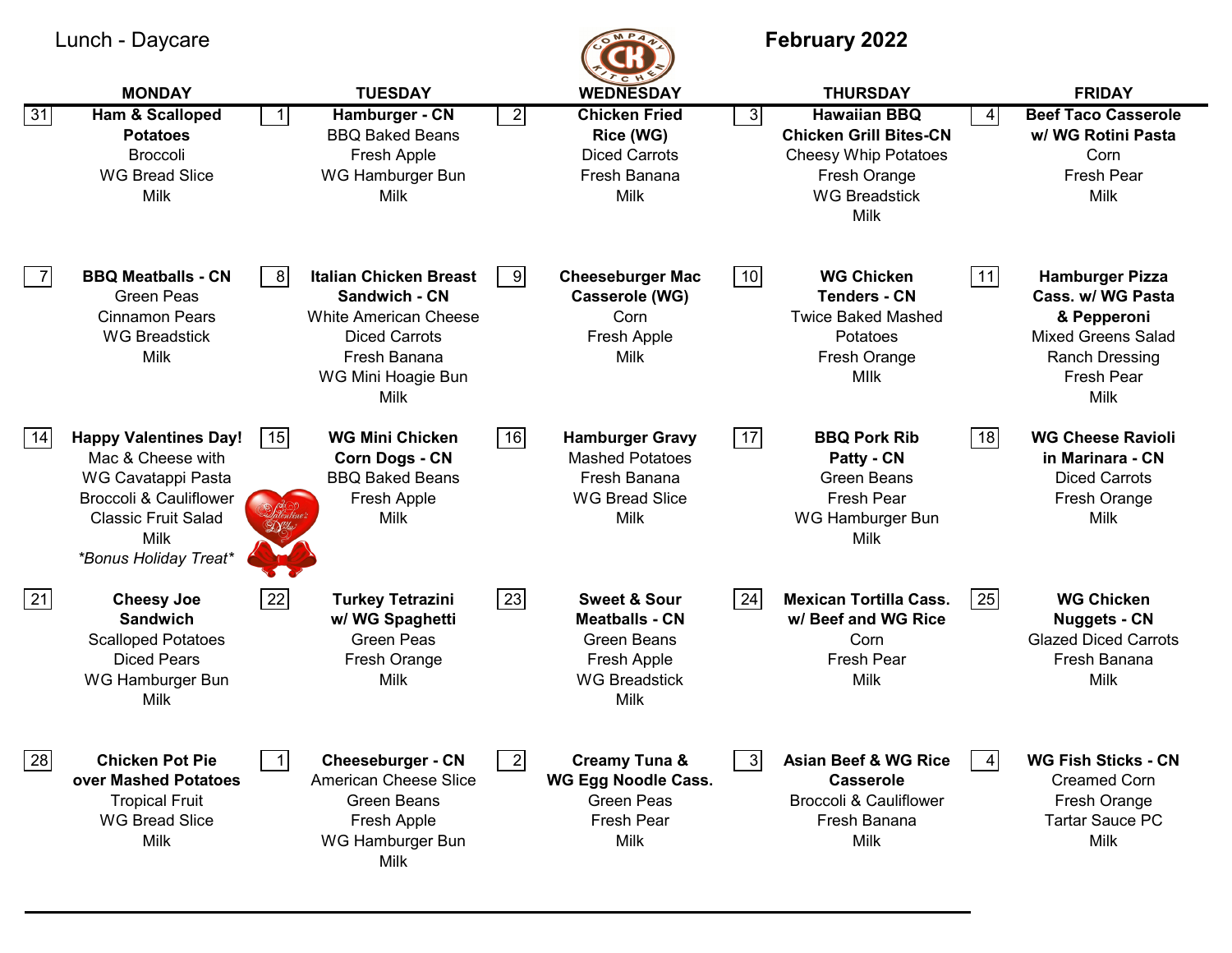|                | Lunch - Daycare                                                                                                                                                                    |                |                                                                                                                                                      |                         | <b>MP</b> <sub>4</sub>                                                                                                |      | <b>February 2022</b>                                                                                                                                   |                 |                                                                                                                                               |
|----------------|------------------------------------------------------------------------------------------------------------------------------------------------------------------------------------|----------------|------------------------------------------------------------------------------------------------------------------------------------------------------|-------------------------|-----------------------------------------------------------------------------------------------------------------------|------|--------------------------------------------------------------------------------------------------------------------------------------------------------|-----------------|-----------------------------------------------------------------------------------------------------------------------------------------------|
| 31             | <b>MONDAY</b><br>Ham & Scalloped<br><b>Potatoes</b><br><b>Broccoli</b><br><b>WG Bread Slice</b><br>Milk                                                                            |                | <b>TUESDAY</b><br>Hamburger - CN<br><b>BBQ Baked Beans</b><br>Fresh Apple<br>WG Hamburger Bun<br>Milk                                                | $\overline{2}$          | <b>WEDNESDAY</b><br><b>Chicken Fried</b><br>Rice (WG)<br><b>Diced Carrots</b><br>Fresh Banana<br>Milk                 | 3    | <b>THURSDAY</b><br><b>Hawaiian BBQ</b><br><b>Chicken Grill Bites-CN</b><br><b>Cheesy Whip Potatoes</b><br>Fresh Orange<br><b>WG Breadstick</b><br>Milk | $\vert 4 \vert$ | <b>FRIDAY</b><br><b>Beef Taco Casserole</b><br>w/ WG Rotini Pasta<br>Corn<br>Fresh Pear<br>Milk                                               |
| $\overline{7}$ | <b>BBQ Meatballs - CN</b><br><b>Green Peas</b><br><b>Cinnamon Pears</b><br><b>WG Breadstick</b><br>Milk                                                                            | 8              | <b>Italian Chicken Breast</b><br>Sandwich - CN<br><b>White American Cheese</b><br><b>Diced Carrots</b><br>Fresh Banana<br>WG Mini Hoagie Bun<br>Milk | 9                       | <b>Cheeseburger Mac</b><br>Casserole (WG)<br>Corn<br>Fresh Apple<br>Milk                                              | 10   | <b>WG Chicken</b><br><b>Tenders - CN</b><br><b>Twice Baked Mashed</b><br>Potatoes<br>Fresh Orange<br><b>MIIK</b>                                       | 11              | <b>Hamburger Pizza</b><br>Cass. w/ WG Pasta<br>& Pepperoni<br><b>Mixed Greens Salad</b><br><b>Ranch Dressing</b><br><b>Fresh Pear</b><br>Milk |
| 14             | <b>Happy Valentines Day!</b><br>Mac & Cheese with<br>WG Cavatappi Pasta<br><b>Broccoli &amp; Cauliflower</b><br><b>Classic Fruit Salad</b><br>Milk<br><i>*Bonus Holiday Treat*</i> | 15             | <b>WG Mini Chicken</b><br><b>Corn Dogs - CN</b><br><b>BBQ Baked Beans</b><br>Fresh Apple<br>Milk                                                     | 16                      | <b>Hamburger Gravy</b><br><b>Mashed Potatoes</b><br>Fresh Banana<br><b>WG Bread Slice</b><br><b>Milk</b>              | $17$ | <b>BBQ Pork Rib</b><br>Patty - CN<br><b>Green Beans</b><br>Fresh Pear<br>WG Hamburger Bun<br><b>Milk</b>                                               | 18              | <b>WG Cheese Ravioli</b><br>in Marinara - CN<br><b>Diced Carrots</b><br>Fresh Orange<br>Milk                                                  |
| 21             | <b>Cheesy Joe</b><br><b>Sandwich</b><br><b>Scalloped Potatoes</b><br><b>Diced Pears</b><br>WG Hamburger Bun<br>Milk                                                                | 22             | <b>Turkey Tetrazini</b><br>w/ WG Spaghetti<br><b>Green Peas</b><br>Fresh Orange<br>Milk                                                              | 23                      | <b>Sweet &amp; Sour</b><br><b>Meatballs - CN</b><br><b>Green Beans</b><br>Fresh Apple<br><b>WG Breadstick</b><br>Milk | 24   | <b>Mexican Tortilla Cass.</b><br>w/ Beef and WG Rice<br>Corn<br>Fresh Pear<br>Milk                                                                     | 25              | <b>WG Chicken</b><br><b>Nuggets - CN</b><br><b>Glazed Diced Carrots</b><br>Fresh Banana<br>Milk                                               |
| 28             | <b>Chicken Pot Pie</b><br>over Mashed Potatoes<br><b>Tropical Fruit</b><br><b>WG Bread Slice</b><br>Milk                                                                           | $\overline{1}$ | <b>Cheeseburger - CN</b><br>American Cheese Slice<br><b>Green Beans</b><br>Fresh Apple<br>WG Hamburger Bun<br>Milk                                   | $\overline{\mathbf{2}}$ | <b>Creamy Tuna &amp;</b><br>WG Egg Noodle Cass.<br><b>Green Peas</b><br>Fresh Pear<br>Milk                            | -31  | <b>Asian Beef &amp; WG Rice</b><br><b>Casserole</b><br><b>Broccoli &amp; Cauliflower</b><br>Fresh Banana<br><b>Milk</b>                                |                 | <b>WG Fish Sticks - CN</b><br><b>Creamed Corn</b><br>Fresh Orange<br><b>Tartar Sauce PC</b><br><b>Milk</b>                                    |